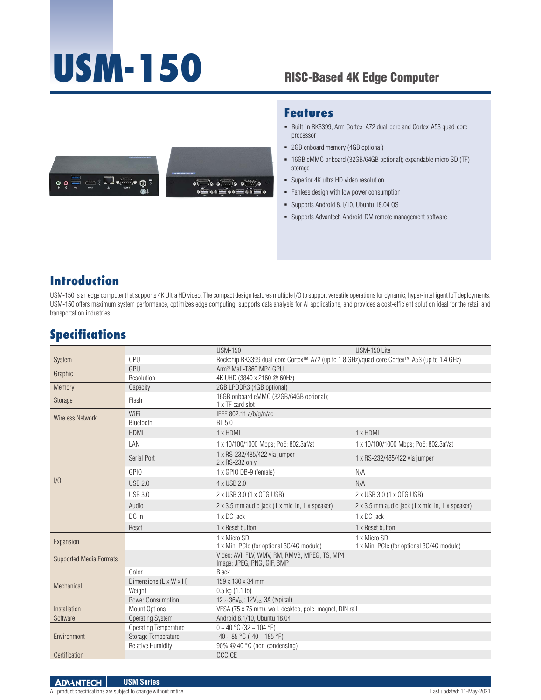# **USM-150**

### RISC-Based 4K Edge Computer





#### **Features**

- Built-in RK3399, Arm Cortex-A72 dual-core and Cortex-A53 quad-core processor
- 2GB onboard memory (4GB optional)
- 16GB eMMC onboard (32GB/64GB optional); expandable micro SD (TF) storage
- Superior 4K ultra HD video resolution
- **Fanless design with low power consumption**
- Supports Android 8.1/10, Ubuntu 18.04 OS
- Supports Advantech Android-DM remote management software

## **Introduction**

USM-150 is an edge computer that supports 4K Ultra HD video. The compact design features multiple I/O to support versatile operations for dynamic, hyper-intelligent IoT deployments. USM-150 offers maximum system performance, optimizes edge computing, supports data analysis for AI applications, and provides a cost-efficient solution ideal for the retail and transportation industries.

# **Specifications**

|                                |                         | <b>USM-150</b>                                                                              | USM-150 Lite                                              |  |
|--------------------------------|-------------------------|---------------------------------------------------------------------------------------------|-----------------------------------------------------------|--|
| System                         | CPU                     | Rockchip RK3399 dual-core Cortex™-A72 (up to 1.8 GHz)/quad-core Cortex™-A53 (up to 1.4 GHz) |                                                           |  |
| Graphic                        | GPU                     | Arm <sup>®</sup> Mali-T860 MP4 GPU                                                          |                                                           |  |
|                                | Resolution              | 4K UHD (3840 x 2160 @ 60Hz)                                                                 |                                                           |  |
| Memory                         | Capacity                | 2GB LPDDR3 (4GB optional)                                                                   |                                                           |  |
| <b>Storage</b>                 | Flash                   | 16GB onboard eMMC (32GB/64GB optional);<br>1 x TF card slot                                 |                                                           |  |
| <b>Wireless Network</b>        | WiFi                    | IEEE 802.11 a/b/g/n/ac                                                                      |                                                           |  |
|                                | Bluetooth               | BT 5.0                                                                                      |                                                           |  |
| 1/0                            | <b>HDMI</b>             | 1 x HDMI                                                                                    | 1 x HDMI                                                  |  |
|                                | LAN                     | 1 x 10/100/1000 Mbps; PoE: 802.3af/at                                                       | 1 x 10/100/1000 Mbps; PoE: 802.3af/at                     |  |
|                                | Serial Port             | 1 x RS-232/485/422 via jumper<br>2 x RS-232 only                                            | 1 x RS-232/485/422 via jumper                             |  |
|                                | <b>GPIO</b>             | 1 x GPIO DB-9 (female)                                                                      | N/A                                                       |  |
|                                | USB 2.0                 | 4 x USB 2.0                                                                                 | N/A                                                       |  |
|                                | <b>USB 3.0</b>          | 2 x USB 3.0 (1 x OTG USB)                                                                   | 2 x USB 3.0 (1 x OTG USB)                                 |  |
|                                | Audio                   | 2 x 3.5 mm audio jack (1 x mic-in, 1 x speaker)                                             | 2 x 3.5 mm audio jack (1 x mic-in, 1 x speaker)           |  |
|                                | DC In                   | 1 x DC jack                                                                                 | 1 x DC jack                                               |  |
|                                | Reset                   | 1 x Reset button                                                                            | 1 x Reset button                                          |  |
| Expansion                      |                         | 1 x Micro SD<br>1 x Mini PCIe (for optional 3G/4G module)                                   | 1 x Micro SD<br>1 x Mini PCIe (for optional 3G/4G module) |  |
| <b>Supported Media Formats</b> |                         | Video: AVI, FLV, WMV, RM, RMVB, MPEG, TS, MP4<br>Image: JPEG, PNG, GIF, BMP                 |                                                           |  |
| Mechanical                     | Color                   | <b>Black</b>                                                                                |                                                           |  |
|                                | Dimensions (L x W x H)  | 159 x 130 x 34 mm                                                                           |                                                           |  |
|                                | Weight                  | $0.5$ kg $(1.1$ lb)                                                                         |                                                           |  |
|                                | Power Consumption       | $12 \sim 36V_{DC}$ ; $12V_{DC}$ , $3A$ (typical)                                            |                                                           |  |
| Installation                   | Mount Options           | VESA (75 x 75 mm), wall, desktop, pole, magnet, DIN rail                                    |                                                           |  |
| Software                       | <b>Operating System</b> | Android 8.1/10. Ubuntu 18.04                                                                |                                                           |  |
| Environment                    | Operating Temperature   | $0 \sim 40$ °C (32 ~ 104 °F)                                                                |                                                           |  |
|                                | Storage Temperature     | $-40 \sim 85$ °C ( $-40 \sim 185$ °F)                                                       |                                                           |  |
|                                | Relative Humidity       | 90% @ 40 °C (non-condensing)                                                                |                                                           |  |
| Certification                  |                         | CCC,CE                                                                                      |                                                           |  |

**ADVANTECH USM Series**  All product specifications are subject to change without notice. Last updated: 11-May-2021